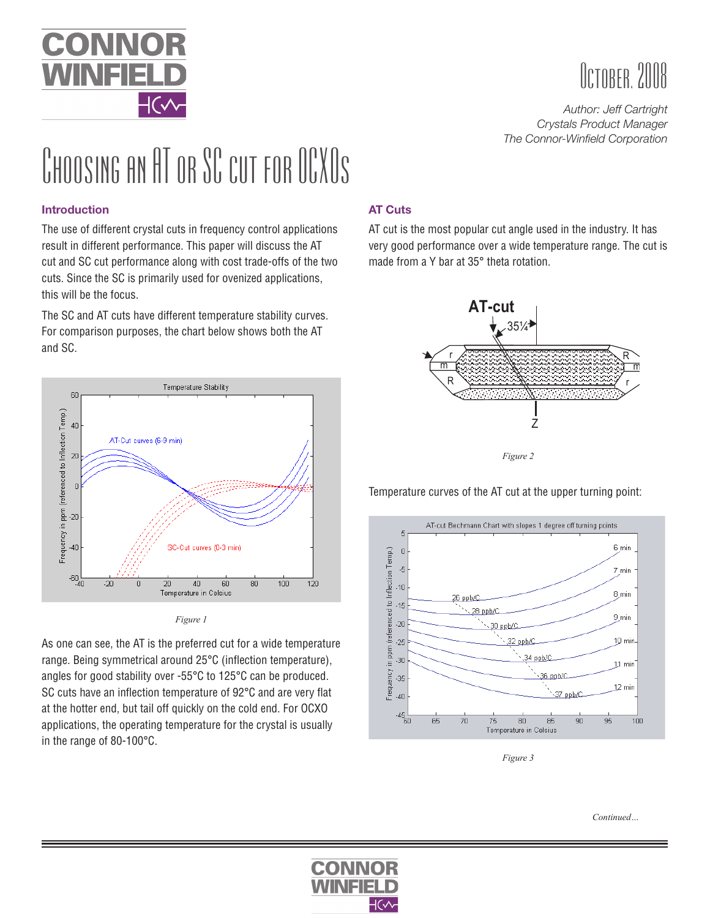

# October, 2008

*Author: Jeff Cartright Crystals Product Manager The Connor-Winfield Corporation*

# CHOOSING AN AT OR SC CUT FOR OCXOS

#### **Introduction**

The use of different crystal cuts in frequency control applications result in different performance. This paper will discuss the AT cut and SC cut performance along with cost trade-offs of the two cuts. Since the SC is primarily used for ovenized applications, this will be the focus.

The SC and AT cuts have different temperature stability curves. For comparison purposes, the chart below shows both the AT and SC.





As one can see, the AT is the preferred cut for a wide temperature range. Being symmetrical around 25°C (inflection temperature), angles for good stability over -55°C to 125°C can be produced. SC cuts have an inflection temperature of 92°C and are very flat at the hotter end, but tail off quickly on the cold end. For OCXO applications, the operating temperature for the crystal is usually in the range of 80-100°C.

## **AT Cuts**

AT cut is the most popular cut angle used in the industry. It has very good performance over a wide temperature range. The cut is made from a Y bar at 35° theta rotation.



Temperature curves of the AT cut at the upper turning point:



*Figure 3*

*Continued…*

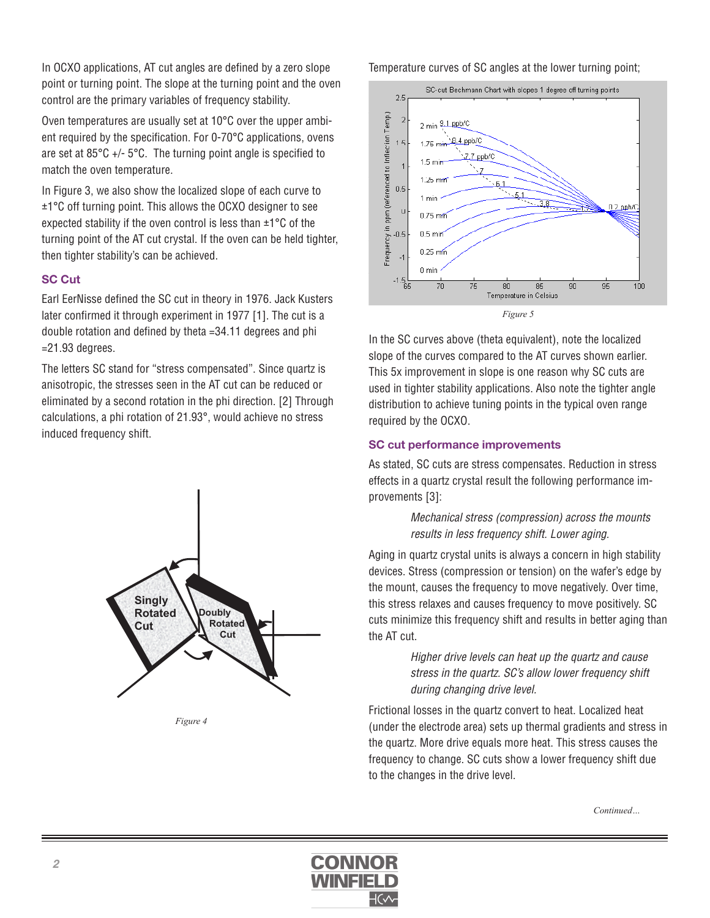In OCXO applications, AT cut angles are defined by a zero slope point or turning point. The slope at the turning point and the oven control are the primary variables of frequency stability.

Oven temperatures are usually set at 10°C over the upper ambient required by the specification. For 0-70°C applications, ovens are set at 85°C +/- 5°C. The turning point angle is specified to match the oven temperature.

In Figure 3, we also show the localized slope of each curve to ±1°C off turning point. This allows the OCXO designer to see expected stability if the oven control is less than ±1°C of the turning point of the AT cut crystal. If the oven can be held tighter, then tighter stability's can be achieved.

#### **SC Cut**

Earl EerNisse defined the SC cut in theory in 1976. Jack Kusters later confirmed it through experiment in 1977 [1]. The cut is a double rotation and defined by theta =34.11 degrees and phi =21.93 degrees.

The letters SC stand for "stress compensated". Since quartz is anisotropic, the stresses seen in the AT cut can be reduced or eliminated by a second rotation in the phi direction. [2] Through calculations, a phi rotation of 21.93°, would achieve no stress induced frequency shift.



*Figure 4*

Temperature curves of SC angles at the lower turning point;



In the SC curves above (theta equivalent), note the localized slope of the curves compared to the AT curves shown earlier. This 5x improvement in slope is one reason why SC cuts are used in tighter stability applications. Also note the tighter angle distribution to achieve tuning points in the typical oven range required by the OCXO.

#### **SC cut performance improvements**

As stated, SC cuts are stress compensates. Reduction in stress effects in a quartz crystal result the following performance improvements [3]:

> *Mechanical stress (compression) across the mounts results in less frequency shift. Lower aging.*

Aging in quartz crystal units is always a concern in high stability devices. Stress (compression or tension) on the wafer's edge by the mount, causes the frequency to move negatively. Over time, this stress relaxes and causes frequency to move positively. SC cuts minimize this frequency shift and results in better aging than the AT cut.

> *Higher drive levels can heat up the quartz and cause stress in the quartz. SC's allow lower frequency shift during changing drive level.*

Frictional losses in the quartz convert to heat. Localized heat (under the electrode area) sets up thermal gradients and stress in the quartz. More drive equals more heat. This stress causes the frequency to change. SC cuts show a lower frequency shift due to the changes in the drive level.

*Continued…*

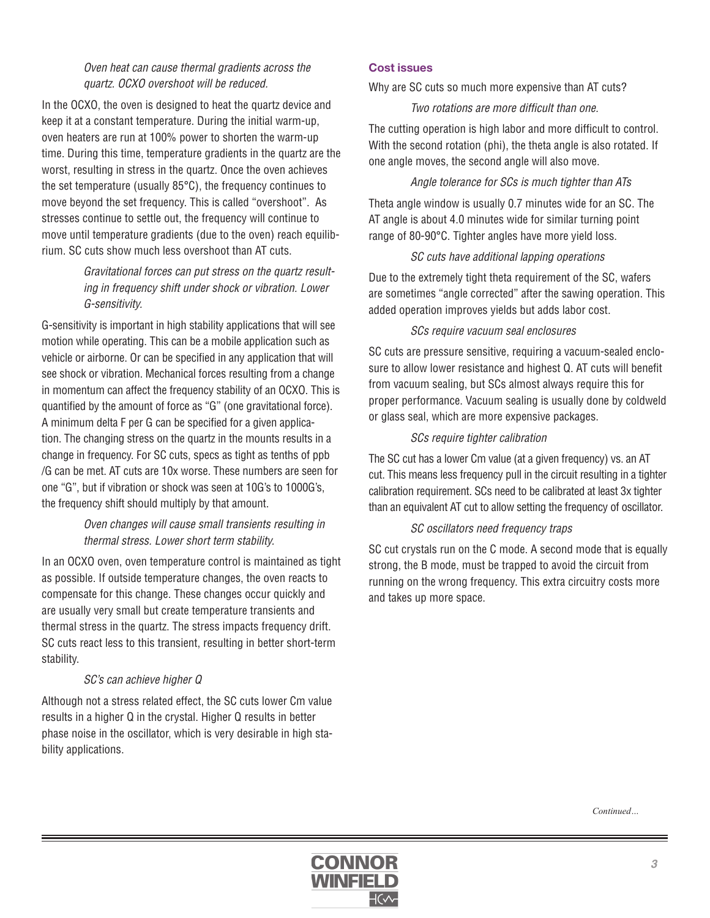#### *Oven heat can cause thermal gradients across the quartz. OCXO overshoot will be reduced.*

In the OCXO, the oven is designed to heat the quartz device and keep it at a constant temperature. During the initial warm-up, oven heaters are run at 100% power to shorten the warm-up time. During this time, temperature gradients in the quartz are the worst, resulting in stress in the quartz. Once the oven achieves the set temperature (usually 85°C), the frequency continues to move beyond the set frequency. This is called "overshoot". As stresses continue to settle out, the frequency will continue to move until temperature gradients (due to the oven) reach equilibrium. SC cuts show much less overshoot than AT cuts.

### *Gravitational forces can put stress on the quartz resulting in frequency shift under shock or vibration. Lower G-sensitivity.*

G-sensitivity is important in high stability applications that will see motion while operating. This can be a mobile application such as vehicle or airborne. Or can be specified in any application that will see shock or vibration. Mechanical forces resulting from a change in momentum can affect the frequency stability of an OCXO. This is quantified by the amount of force as "G" (one gravitational force). A minimum delta F per G can be specified for a given application. The changing stress on the quartz in the mounts results in a change in frequency. For SC cuts, specs as tight as tenths of ppb /G can be met. AT cuts are 10x worse. These numbers are seen for one "G", but if vibration or shock was seen at 10G's to 1000G's, the frequency shift should multiply by that amount.

#### *Oven changes will cause small transients resulting in thermal stress. Lower short term stability.*

In an OCXO oven, oven temperature control is maintained as tight as possible. If outside temperature changes, the oven reacts to compensate for this change. These changes occur quickly and are usually very small but create temperature transients and thermal stress in the quartz. The stress impacts frequency drift. SC cuts react less to this transient, resulting in better short-term stability.

#### *SC's can achieve higher Q*

Although not a stress related effect, the SC cuts lower Cm value results in a higher Q in the crystal. Higher Q results in better phase noise in the oscillator, which is very desirable in high stability applications.

#### **Cost issues**

Why are SC cuts so much more expensive than AT cuts?

#### *Two rotations are more difficult than one.*

The cutting operation is high labor and more difficult to control. With the second rotation (phi), the theta angle is also rotated. If one angle moves, the second angle will also move.

#### *Angle tolerance for SCs is much tighter than ATs*

Theta angle window is usually 0.7 minutes wide for an SC. The AT angle is about 4.0 minutes wide for similar turning point range of 80-90°C. Tighter angles have more yield loss.

#### *SC cuts have additional lapping operations*

Due to the extremely tight theta requirement of the SC, wafers are sometimes "angle corrected" after the sawing operation. This added operation improves yields but adds labor cost.

#### *SCs require vacuum seal enclosures*

SC cuts are pressure sensitive, requiring a vacuum-sealed enclosure to allow lower resistance and highest Q. AT cuts will benefit from vacuum sealing, but SCs almost always require this for proper performance. Vacuum sealing is usually done by coldweld or glass seal, which are more expensive packages.

#### *SCs require tighter calibration*

The SC cut has a lower Cm value (at a given frequency) vs. an AT cut. This means less frequency pull in the circuit resulting in a tighter calibration requirement. SCs need to be calibrated at least 3x tighter than an equivalent AT cut to allow setting the frequency of oscillator.

#### *SC oscillators need frequency traps*

SC cut crystals run on the C mode. A second mode that is equally strong, the B mode, must be trapped to avoid the circuit from running on the wrong frequency. This extra circuitry costs more and takes up more space.

*Continued…*